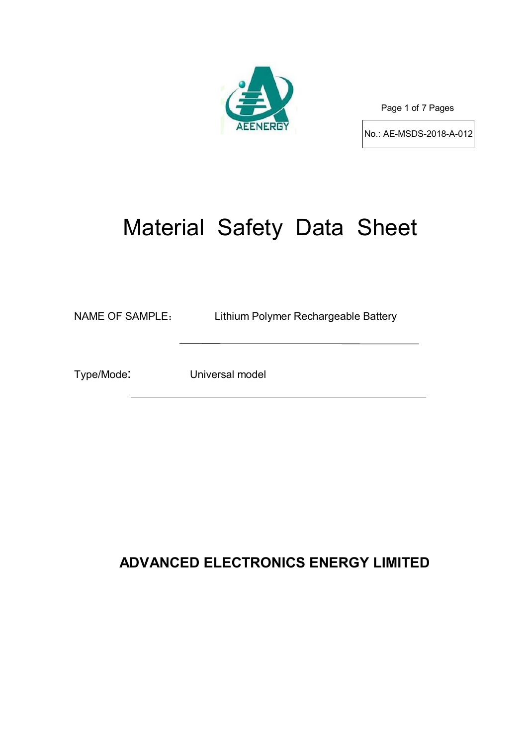

Page 1 of 7 Pages

No.: AE-MSDS-2018-A-012

# Material Safety Data Sheet

NAME OF SAMPLE: Lithium Polymer Rechargeable Battery

Type/Mode: Universal model

# **ADVANCED ELECTRONICS ENERGY LIMITED**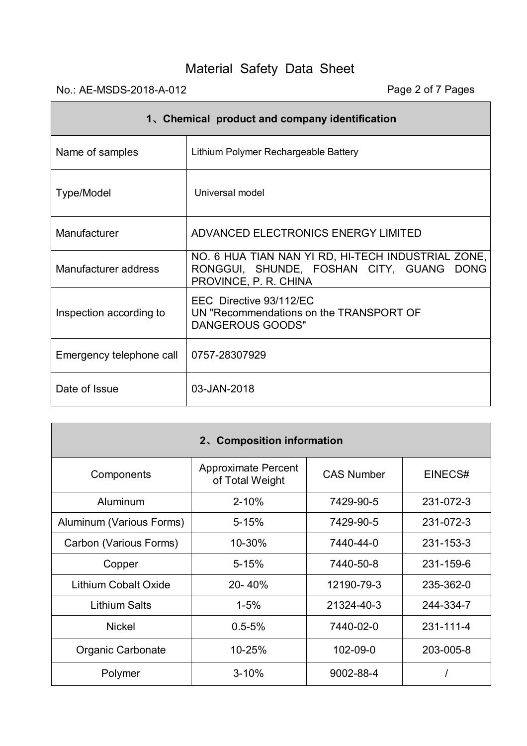# No.: AE-MSDS-2018-A-012 Page 2 of 7 Pages

 $\mathsf{r}$ 

| 1. Chemical product and company identification |                                                                                                                         |  |  |  |  |
|------------------------------------------------|-------------------------------------------------------------------------------------------------------------------------|--|--|--|--|
| Name of samples                                | Lithium Polymer Rechargeable Battery                                                                                    |  |  |  |  |
| Type/Model                                     | Universal model                                                                                                         |  |  |  |  |
| Manufacturer                                   | ADVANCED ELECTRONICS ENERGY LIMITED                                                                                     |  |  |  |  |
| Manufacturer address                           | NO. 6 HUA TIAN NAN YI RD, HI-TECH INDUSTRIAL ZONE,<br>RONGGUI, SHUNDE, FOSHAN CITY, GUANG DONG<br>PROVINCE, P. R. CHINA |  |  |  |  |
| Inspection according to                        | EEC Directive 93/112/EC<br>UN "Recommendations on the TRANSPORT OF<br>DANGEROUS GOODS"                                  |  |  |  |  |
| Emergency telephone call                       | 0757-28307929                                                                                                           |  |  |  |  |
| Date of Issue                                  | 03-JAN-2018                                                                                                             |  |  |  |  |

| 2. Composition information  |                                               |                   |           |  |  |  |  |  |
|-----------------------------|-----------------------------------------------|-------------------|-----------|--|--|--|--|--|
| Components                  | <b>Approximate Percent</b><br>of Total Weight | <b>CAS Number</b> | EINECS#   |  |  |  |  |  |
| Aluminum                    | $2 - 10%$                                     | 7429-90-5         | 231-072-3 |  |  |  |  |  |
| Aluminum (Various Forms)    | $5 - 15%$                                     | 7429-90-5         | 231-072-3 |  |  |  |  |  |
| Carbon (Various Forms)      | 10-30%                                        | 7440-44-0         | 231-153-3 |  |  |  |  |  |
| Copper                      | $5 - 15%$                                     | 7440-50-8         | 231-159-6 |  |  |  |  |  |
| <b>Lithium Cobalt Oxide</b> | 20-40%                                        | 12190-79-3        | 235-362-0 |  |  |  |  |  |
| <b>Lithium Salts</b>        | $1 - 5%$                                      | 21324-40-3        | 244-334-7 |  |  |  |  |  |
| <b>Nickel</b>               | $0.5 - 5%$                                    | 7440-02-0         | 231-111-4 |  |  |  |  |  |
| Organic Carbonate           | 10-25%                                        | 102-09-0          | 203-005-8 |  |  |  |  |  |
| Polymer                     | $3 - 10%$                                     | 9002-88-4         |           |  |  |  |  |  |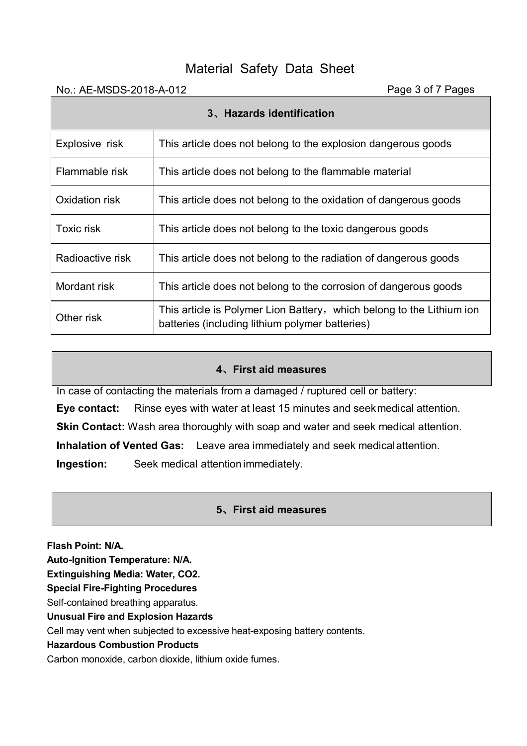| No.: AE-MSDS-2018-A-012   |                                                                                                                          | Page 3 of 7 Pages |  |  |  |
|---------------------------|--------------------------------------------------------------------------------------------------------------------------|-------------------|--|--|--|
| 3. Hazards identification |                                                                                                                          |                   |  |  |  |
| Explosive risk            | This article does not belong to the explosion dangerous goods                                                            |                   |  |  |  |
| Flammable risk            | This article does not belong to the flammable material                                                                   |                   |  |  |  |
| Oxidation risk            | This article does not belong to the oxidation of dangerous goods                                                         |                   |  |  |  |
| Toxic risk                | This article does not belong to the toxic dangerous goods                                                                |                   |  |  |  |
| Radioactive risk          | This article does not belong to the radiation of dangerous goods                                                         |                   |  |  |  |
| Mordant risk              | This article does not belong to the corrosion of dangerous goods                                                         |                   |  |  |  |
| Other risk                | This article is Polymer Lion Battery, which belong to the Lithium ion<br>batteries (including lithium polymer batteries) |                   |  |  |  |

# **4、First aid measures**

In case of contacting the materials from a damaged / ruptured cell or battery:

**Eye contact:** Rinse eyes with water at least 15 minutes and seekmedical attention.

**Skin Contact:** Wash area thoroughly with soap and water and seek medical attention.

**Inhalation of Vented Gas:** Leave area immediately and seek medicalattention.

**Ingestion:** Seek medical attention immediately.

# **5、First aid measures**

**Flash Point: N/A.**

**Auto-Ignition Temperature: N/A.**

**Extinguishing Media: Water, CO2.**

**Special Fire-Fighting Procedures**

Self-contained breathing apparatus.

**Unusual Fire and Explosion Hazards**

Cell may vent when subjected to excessive heat-exposing battery contents.

## **Hazardous Combustion Products**

Carbon monoxide, carbon dioxide, lithium oxide fumes.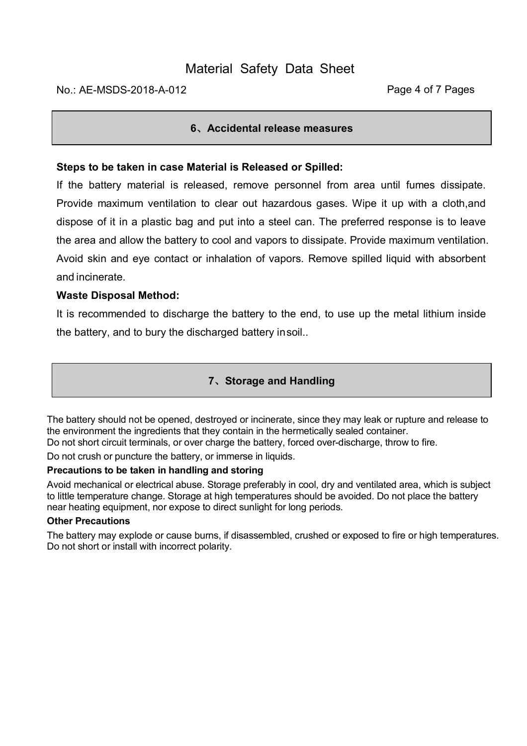# **6、Accidental release measures**

## **Steps to be taken in case Material is Released or Spilled:**

If the battery material is released, remove personnel from area until fumes dissipate. Provide maximum ventilation to clear out hazardous gases. Wipe it up with a cloth,and dispose of it in a plastic bag and put into a steel can. The preferred response is to leave the area and allow the battery to cool and vapors to dissipate. Provide maximum ventilation. Avoid skin and eye contact or inhalation of vapors. Remove spilled liquid with absorbent and incinerate.

## **Waste Disposal Method:**

It is recommended to discharge the battery to the end, to use up the metal lithium inside the battery, and to bury the discharged battery insoil..

# **7、Storage and Handling**

The battery should not be opened, destroyed or incinerate, since they may leak or rupture and release to the environment the ingredients that they contain in the hermetically sealed container. Do not short circuit terminals, or over charge the battery, forced over-discharge, throw to fire.

Do not crush or puncture the battery, or immerse in liquids.

#### **Precautions to be taken in handling and storing**

Avoid mechanical or electrical abuse. Storage preferably in cool, dry and ventilated area, which is subject to little temperature change. Storage at high temperatures should be avoided. Do not place the battery near heating equipment, nor expose to direct sunlight for long periods.

#### **Other Precautions**

The battery may explode or cause burns, if disassembled, crushed or exposed to fire or high temperatures. Do not short or install with incorrect polarity.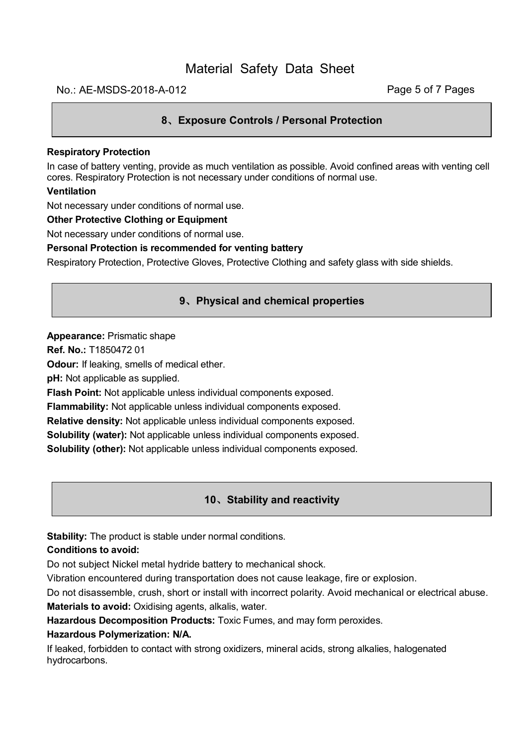#### No.: AE-MSDS-2018-A-012 **Page 5 of 7 Pages**

#### **8、Exposure Controls / Personal Protection**

#### **Respiratory Protection**

In case of battery venting, provide as much ventilation as possible. Avoid confined areas with venting cell cores. Respiratory Protection is not necessary under conditions of normal use.

#### **Ventilation**

Not necessary under conditions of normal use.

#### **Other Protective Clothing or Equipment**

Not necessary under conditions of normal use.

#### **Personal Protection is recommended for venting battery**

Respiratory Protection, Protective Gloves, Protective Clothing and safety glass with side shields.

#### **9、Physical and chemical properties**

#### **Appearance:** Prismatic shape

**Ref. No.:** T1850472 01

**Odour:** If leaking, smells of medical ether.

**pH:** Not applicable as supplied.

**Flash Point:** Not applicable unless individual components exposed.

**Flammability:** Not applicable unless individual components exposed.

**Relative density:** Not applicable unless individual components exposed.

**Solubility (water):** Not applicable unless individual components exposed.

**Solubility (other):** Not applicable unless individual components exposed.

#### **10、Stability and reactivity**

**Stability:** The product is stable under normal conditions.

#### **Conditions to avoid:**

Do not subject Nickel metal hydride battery to mechanical shock.

Vibration encountered during transportation does not cause leakage, fire or explosion.

Do not disassemble, crush, short or install with incorrect polarity. Avoid mechanical or electrical abuse.

**Materials to avoid:** Oxidising agents, alkalis, water.

**Hazardous Decomposition Products:** Toxic Fumes, and may form peroxides.

#### **Hazardous Polymerization: N/A.**

If leaked, forbidden to contact with strong oxidizers, mineral acids, strong alkalies, halogenated hydrocarbons.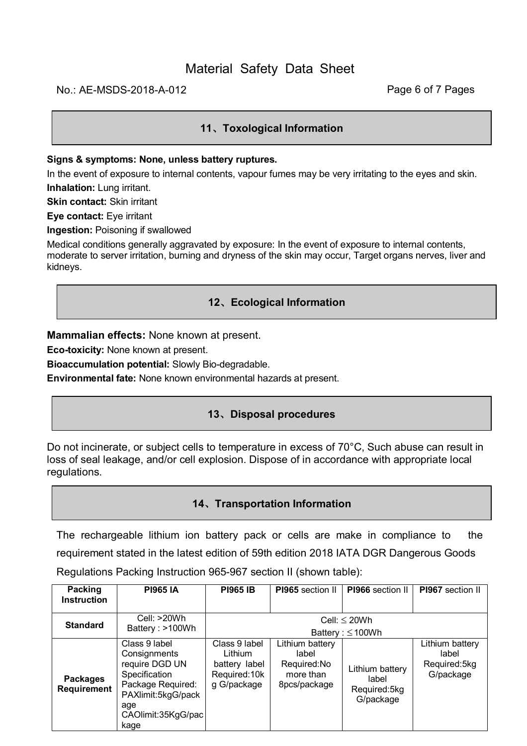## No.: AE-MSDS-2018-A-012 **Page 6 of 7 Pages**

## **11、Toxological Information**

#### **Signs & symptoms: None, unless battery ruptures.**

In the event of exposure to internal contents, vapour fumes may be very irritating to the eyes and skin. **Inhalation:** Lung irritant.

**Skin contact:** Skin irritant

**Eye contact:** Eye irritant

**Ingestion:** Poisoning if swallowed

Medical conditions generally aggravated by exposure: In the event of exposure to internal contents, moderate to server irritation, burning and dryness of the skin may occur, Target organs nerves, liver and kidneys.

#### **12、Ecological Information**

**Mammalian effects:** None known at present.

**Eco-toxicity:** None known at present.

**Bioaccumulation potential:** Slowly Bio-degradable.

**Environmental fate:** None known environmental hazards at present.

# **13、Disposal procedures**

Do not incinerate, or subject cells to temperature in excess of 70°C, Such abuse can result in loss of seal leakage, and/or cell explosion. Dispose of in accordance with appropriate local regulations.

#### **14、Transportation Information**

The rechargeable lithium ion battery pack or cells are make in compliance to the requirement stated in the latest edition of 59th edition 2018 IATA DGR Dangerous Goods Regulations Packing Instruction 965-967 section II (shown table):

| Packing<br><b>Instruction</b>  | <b>PI965 IA</b>                                                                                                                                  | <b>PI965 IB</b>                                                           | PI965 section II                                                     | PI966 section II                                      | PI967 section II                                      |  |
|--------------------------------|--------------------------------------------------------------------------------------------------------------------------------------------------|---------------------------------------------------------------------------|----------------------------------------------------------------------|-------------------------------------------------------|-------------------------------------------------------|--|
| <b>Standard</b>                | Cell: $>20Wh$<br>Battery: >100Wh                                                                                                                 | Cell: $\leq$ 20Wh<br>Battery: $\leq 100Wh$                                |                                                                      |                                                       |                                                       |  |
| <b>Packages</b><br>Requirement | Class 9 label<br>Consignments<br>require DGD UN<br>Specification<br>Package Required:<br>PAXlimit:5kgG/pack<br>age<br>CAOlimit:35KgG/pac<br>kage | Class 9 label<br>Lithium<br>battery label<br>Required: 10k<br>g G/package | Lithium battery<br>label<br>Required:No<br>more than<br>8pcs/package | Lithium battery<br>label<br>Required:5kg<br>G/package | Lithium battery<br>label<br>Required:5kg<br>G/package |  |